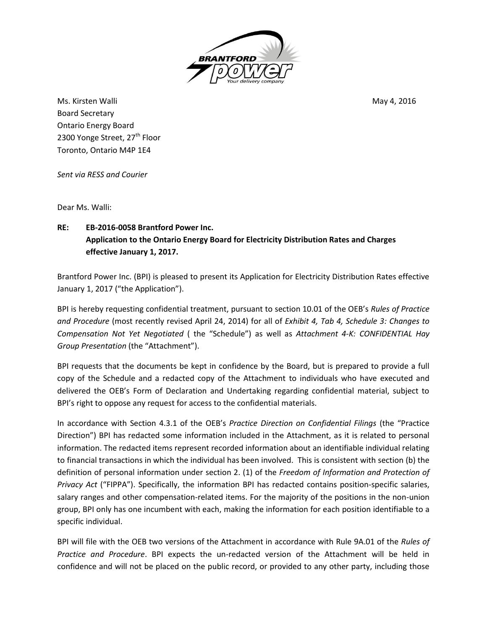

Ms. Kirsten Walli May 4, 2016 Board Secretary Ontario Energy Board 2300 Yonge Street, 27<sup>th</sup> Floor Toronto, Ontario M4P 1E4

*Sent via RESS and Courier*

Dear Ms. Walli:

## **RE: EB-2016-0058 Brantford Power Inc. Application to the Ontario Energy Board for Electricity Distribution Rates and Charges effective January 1, 2017.**

Brantford Power Inc. (BPI) is pleased to present its Application for Electricity Distribution Rates effective January 1, 2017 ("the Application").

BPI is hereby requesting confidential treatment, pursuant to section 10.01 of the OEB's *Rules of Practice and Procedure* (most recently revised April 24, 2014) for all of *Exhibit 4, Tab 4, Schedule 3: Changes to Compensation Not Yet Negotiated* ( the "Schedule") as well as *Attachment 4-K: CONFIDENTIAL Hay Group Presentation* (the "Attachment").

BPI requests that the documents be kept in confidence by the Board, but is prepared to provide a full copy of the Schedule and a redacted copy of the Attachment to individuals who have executed and delivered the OEB's Form of Declaration and Undertaking regarding confidential material, subject to BPI's right to oppose any request for access to the confidential materials.

In accordance with Section 4.3.1 of the OEB's *Practice Direction on Confidential Filings* (the "Practice Direction") BPI has redacted some information included in the Attachment, as it is related to personal information. The redacted items represent recorded information about an identifiable individual relating to financial transactions in which the individual has been involved. This is consistent with section (b) the definition of personal information under section 2. (1) of the *Freedom of Information and Protection of Privacy Act* ("FIPPA"). Specifically, the information BPI has redacted contains position-specific salaries, salary ranges and other compensation-related items. For the majority of the positions in the non-union group, BPI only has one incumbent with each, making the information for each position identifiable to a specific individual.

BPI will file with the OEB two versions of the Attachment in accordance with Rule 9A.01 of the *Rules of Practice and Procedure*. BPI expects the un-redacted version of the Attachment will be held in confidence and will not be placed on the public record, or provided to any other party, including those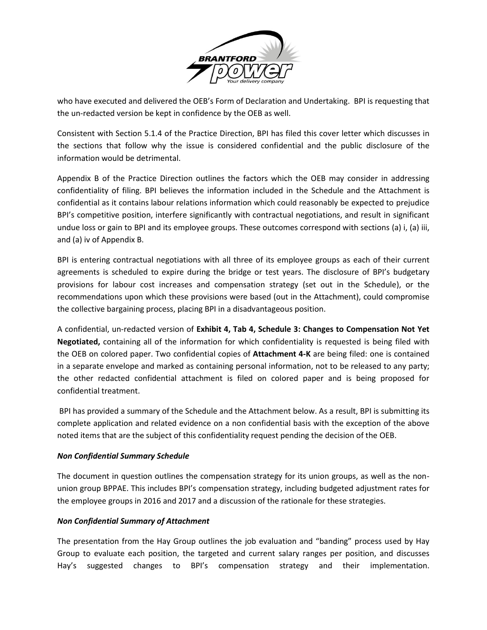

who have executed and delivered the OEB's Form of Declaration and Undertaking. BPI is requesting that the un-redacted version be kept in confidence by the OEB as well.

Consistent with Section 5.1.4 of the Practice Direction, BPI has filed this cover letter which discusses in the sections that follow why the issue is considered confidential and the public disclosure of the information would be detrimental.

Appendix B of the Practice Direction outlines the factors which the OEB may consider in addressing confidentiality of filing. BPI believes the information included in the Schedule and the Attachment is confidential as it contains labour relations information which could reasonably be expected to prejudice BPI's competitive position, interfere significantly with contractual negotiations, and result in significant undue loss or gain to BPI and its employee groups. These outcomes correspond with sections (a) i, (a) iii, and (a) iv of Appendix B.

BPI is entering contractual negotiations with all three of its employee groups as each of their current agreements is scheduled to expire during the bridge or test years. The disclosure of BPI's budgetary provisions for labour cost increases and compensation strategy (set out in the Schedule), or the recommendations upon which these provisions were based (out in the Attachment), could compromise the collective bargaining process, placing BPI in a disadvantageous position.

A confidential, un-redacted version of **Exhibit 4, Tab 4, Schedule 3: Changes to Compensation Not Yet Negotiated,** containing all of the information for which confidentiality is requested is being filed with the OEB on colored paper. Two confidential copies of **Attachment 4-K** are being filed: one is contained in a separate envelope and marked as containing personal information, not to be released to any party; the other redacted confidential attachment is filed on colored paper and is being proposed for confidential treatment.

BPI has provided a summary of the Schedule and the Attachment below. As a result, BPI is submitting its complete application and related evidence on a non confidential basis with the exception of the above noted items that are the subject of this confidentiality request pending the decision of the OEB.

## *Non Confidential Summary Schedule*

The document in question outlines the compensation strategy for its union groups, as well as the nonunion group BPPAE. This includes BPI's compensation strategy, including budgeted adjustment rates for the employee groups in 2016 and 2017 and a discussion of the rationale for these strategies.

## *Non Confidential Summary of Attachment*

The presentation from the Hay Group outlines the job evaluation and "banding" process used by Hay Group to evaluate each position, the targeted and current salary ranges per position, and discusses Hay's suggested changes to BPI's compensation strategy and their implementation.